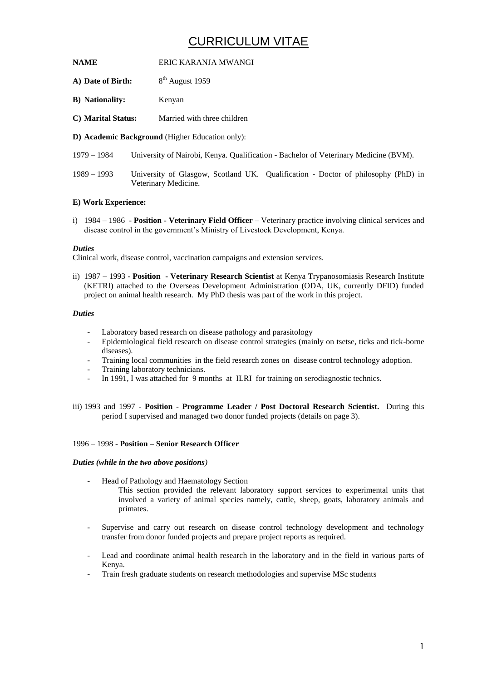# CURRICULUM VITAE

- **NAME** ERIC KARANJA MWANGI
- **A)** Date of Birth: 8<sup>th</sup> August 1959
- **B) Nationality:** Kenyan
- **C) Marital Status:** Married with three children
- **D) Academic Background** (Higher Education only):
- 1979 1984 University of Nairobi, Kenya. Qualification Bachelor of Veterinary Medicine (BVM).
- 1989 1993 University of Glasgow, Scotland UK. Qualification Doctor of philosophy (PhD) in Veterinary Medicine.

# **E) Work Experience:**

i) 1984 – 1986 - **Position - Veterinary Field Officer** – Veterinary practice involving clinical services and disease control in the government's Ministry of Livestock Development, Kenya.

# *Duties*

Clinical work, disease control, vaccination campaigns and extension services.

ii) 1987 – 1993 - **Position - Veterinary Research Scientist** at Kenya Trypanosomiasis Research Institute (KETRI) attached to the Overseas Development Administration (ODA, UK, currently DFID) funded project on animal health research. My PhD thesis was part of the work in this project.

# *Duties*

- Laboratory based research on disease pathology and parasitology
- Epidemiological field research on disease control strategies (mainly on tsetse, ticks and tick-borne diseases).
- Training local communities in the field research zones on disease control technology adoption.
- Training laboratory technicians.
- In 1991, I was attached for 9 months at ILRI for training on serodiagnostic technics.
- iii) 1993 and 1997 **Position - Programme Leader / Post Doctoral Research Scientist.** During this period I supervised and managed two donor funded projects (details on page 3).

# 1996 – 1998 - **Position – Senior Research Officer**

#### *Duties (while in the two above positions)*

- Head of Pathology and Haematology Section This section provided the relevant laboratory support services to experimental units that involved a variety of animal species namely, cattle, sheep, goats, laboratory animals and primates.
- Supervise and carry out research on disease control technology development and technology transfer from donor funded projects and prepare project reports as required.
- Lead and coordinate animal health research in the laboratory and in the field in various parts of Kenya.
- Train fresh graduate students on research methodologies and supervise MSc students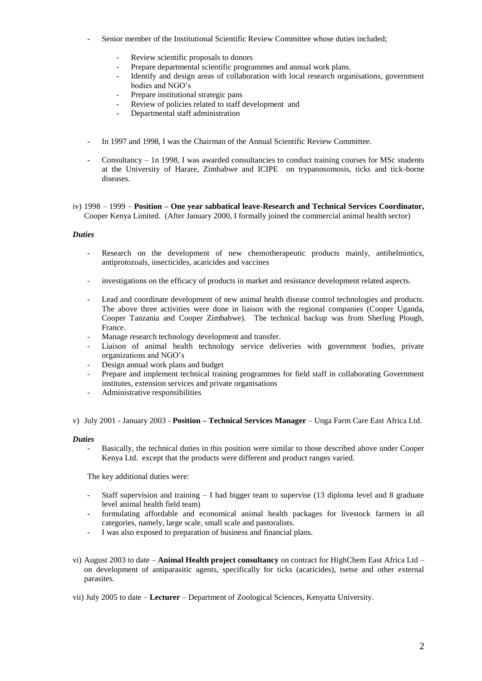- Senior member of the Institutional Scientific Review Committee whose duties included;
	- Review scientific proposals to donors
	- Prepare departmental scientific programmes and annual work plans.
	- Identify and design areas of collaboration with local research organisations, government bodies and NGO's
	- Prepare institutional strategic pans
	- Review of policies related to staff development and
	- Departmental staff administration
- In 1997 and 1998, I was the Chairman of the Annual Scientific Review Committee.
- Consultancy 1n 1998, I was awarded consultancies to conduct training courses for MSc students at the University of Harare, Zimbabwe and ICIPE on trypanosomosis, ticks and tick-borne diseases.
- iv) 1998 1999 **Position – One year sabbatical leave-Research and Technical Services Coordinator,** Cooper Kenya Limited. (After January 2000, I formally joined the commercial animal health sector)

#### *Duties*

- Research on the development of new chemotherapeutic products mainly, antihelmintics, antiprotozoals, insecticides, acaricides and vaccines
- investigations on the efficacy of products in market and resistance development related aspects.
- Lead and coordinate development of new animal health disease control technologies and products. The above three activities were done in liaison with the regional companies (Cooper Uganda, Cooper Tanzania and Cooper Zimbabwe). The technical backup was from Sherling Plough, France.
- Manage research technology development and transfer.
- Liaison of animal health technology service deliveries with government bodies, private organizations and NGO's
- Design annual work plans and budget
- Prepare and implement technical training programmes for field staff in collaborating Government institutes, extension services and private organisations
- Administrative responsibilities

v) July 2001 - January 2003 - **Position – Technical Services Manager** – Unga Farm Care East Africa Ltd.

#### *Duties*

- Basically, the technical duties in this position were similar to those described above under Cooper Kenya Ltd. except that the products were different and product ranges varied.

The key additional duties were:

- Staff supervision and training I had bigger team to supervise (13 diploma level and 8 graduate level animal health field team)
- formulating affordable and economical animal health packages for livestock farmers in all categories, namely, large scale, small scale and pastoralists.
- I was also exposed to preparation of business and financial plans.
- vi) August 2003 to date **Animal Health project consultancy** on contract for HighChem East Africa Ltd on development of antiparasitic agents, specifically for ticks (acaricides), tsetse and other external parasites.

vii) July 2005 to date – **Lecturer** – Department of Zoological Sciences, Kenyatta University.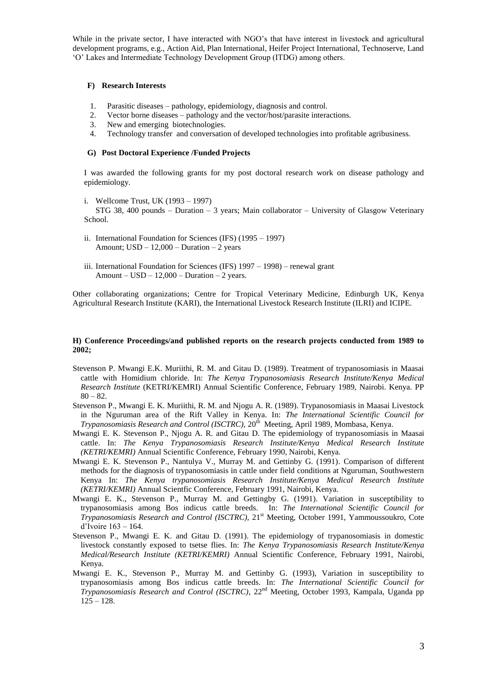While in the private sector, I have interacted with NGO's that have interest in livestock and agricultural development programs, e.g., Action Aid, Plan International, Heifer Project International, Technoserve, Land 'O' Lakes and Intermediate Technology Development Group (ITDG) among others.

# **F) Research Interests**

- 1. Parasitic diseases pathology, epidemiology, diagnosis and control.
- 2. Vector borne diseases pathology and the vector/host/parasite interactions.
- 3. New and emerging biotechnologies.
- 4. Technology transfer and conversation of developed technologies into profitable agribusiness.

# **G) Post Doctoral Experience /Funded Projects**

I was awarded the following grants for my post doctoral research work on disease pathology and epidemiology.

i. Wellcome Trust, UK (1993 – 1997)

STG 38, 400 pounds – Duration – 3 years; Main collaborator – University of Glasgow Veterinary School.

- ii. International Foundation for Sciences (IFS) (1995 1997) Amount;  $USD - 12,000 - Duration - 2 years$
- iii. International Foundation for Sciences (IFS) 1997 1998) renewal grant Amount –  $USD - 12,000$  – Duration – 2 years.

Other collaborating organizations; Centre for Tropical Veterinary Medicine, Edinburgh UK, Kenya Agricultural Research Institute (KARI), the International Livestock Research Institute (ILRI) and ICIPE.

# **H) Conference Proceedings/and published reports on the research projects conducted from 1989 to 2002;**

- Stevenson P. Mwangi E.K. Muriithi, R. M. and Gitau D. (1989). Treatment of trypanosomiasis in Maasai cattle with Homidium chloride. In: *The Kenya Trypanosomiasis Research Institute/Kenya Medical Research Institute* (KETRI/KEMRI) Annual Scientific Conference, February 1989, Nairobi. Kenya. PP  $80 - 82.$
- Stevenson P., Mwangi E. K. Muriithi, R. M. and Njogu A. R. (1989). Trypanosomiasis in Maasai Livestock in the Nguruman area of the Rift Valley in Kenya. In: *The International Scientific Council for*  Trypanosomiasis Research and Control (ISCTRC), 20<sup>th</sup> Meeting, April 1989, Mombasa, Kenya.
- Mwangi E. K. Stevenson P., Njogu A. R. and Gitau D. The epidemiology of trypanosomiasis in Maasai cattle. In: *The Kenya Trypanosomiasis Research Institute/Kenya Medical Research Institute (KETRI/KEMRI)* Annual Scientific Conference, February 1990, Nairobi, Kenya.
- Mwangi E. K. Stevenson P., Nantulya V., Murray M. and Gettinby G. (1991). Comparison of different methods for the diagnosis of trypanosomiasis in cattle under field conditions at Nguruman, Southwestern Kenya In: *The Kenya trypanosomiasis Research Institute/Kenya Medical Research Institute (KETRI/KEMRI)* Annual Scientfic Conference, February 1991, Nairobi, Kenya.
- Mwangi E. K., Stevenson P., Murray M. and Gettingby G. (1991). Variation in susceptibility to trypanosomiasis among Bos indicus cattle breeds. In: *The International Scientific Council for Trypanosomiasis Research and Control (ISCTRC),* 21st Meeting, October 1991, Yammoussoukro, Cote d'Ivoire 163 – 164.
- Stevenson P., Mwangi E. K. and Gitau D. (1991). The epidemiology of trypanosomiasis in domestic livestock constantly exposed to tsetse flies. In: *The Kenya Trypanosomiasis Research Institute/Kenya Medical/Research Institute (KETRI/KEMRI)* Annual Scientific Conference, February 1991, Nairobi, Kenya.
- Mwangi E. K., Stevenson P., Murray M. and Gettinby G. (1993), Variation in susceptibility to trypanosomiasis among Bos indicus cattle breeds. In: *The International Scientific Council for Trypanosomiasis Research and Control (ISCTRC)*, 22nd Meeting, October 1993, Kampala, Uganda pp  $125 - 128.$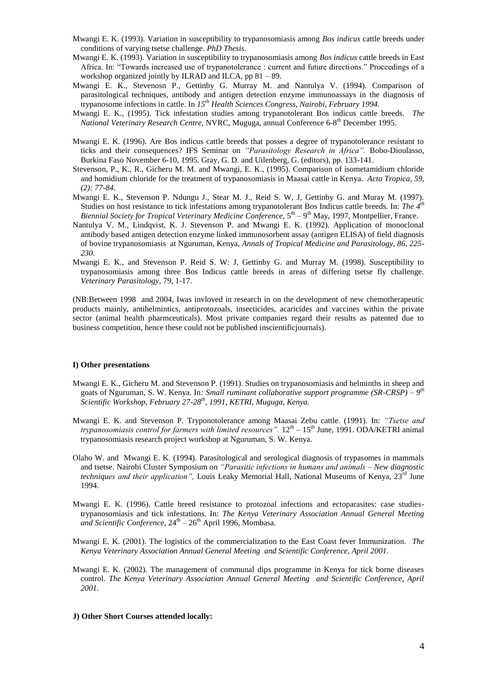- Mwangi E. K. (1993). Variation in susceptibility to trypanosomiasis among *Bos indicus* cattle breeds under conditions of varying tsetse challenge. *PhD Thesis.*
- Mwangi E. K. (1993). Variation in susceptibility to trypanosomiasis among *Bos indicus* cattle breeds in East Africa. In: "Towards increased use of trypanotolerance : current and future directions." Proceedings of a workshop organized jointly by ILRAD and ILCA, pp 81 – 89.
- Mwangi E. K., Stevenosn P., Gettinby G. Murray M. and Nantulya V. (1994). Comparison of parasitological techniques, antibody and antigen detection enzyme immunoassays in the diagnosis of trypanosome infections in cattle. In *15th Health Sciences Congress, Nairobi, February 1994.*
- Mwangi E. K., (1995). Tick infestation studies among trypanotolerant Bos indicus cattle breeds. *The*  National Veterinary Research Centre, NVRC, Muguga, annual Conference 6-8<sup>th</sup> December 1995.
- Mwangi E. K. (1996). Are Bos indicus cattle breeds that posses a degree of trypanotolerance resistant to ticks and their consequences? IFS Seminar on *"Parasitology Research in Africa".* Bobo-Dioulasso, Burkina Faso November 6-10, 1995. Gray, G. D. and Uilenberg, G. (editors), pp. 133-141.
- Stevenson, P., K., R., Gicheru M. M. and Mwangi, E. K., (1995). Comparison of isometamidium chloride and homidium chloride for the treatment of trypanosomiasis in Maasai cattle in Kenya. *Acta Tropica, 59, (2): 77-84.*
- Mwangi E. K., Stevenson P. Ndungu J., Stear M. J., Reid S. W, J, Gettinby G. and Muray M. (1997). Studies on host resistance to tick infestations among trypanotolerant Bos Indicus cattle breeds. In: *The 4th* Biennial Society for Tropical Veterinary Medicine Conference, 5<sup>th</sup> – 9<sup>th</sup> May, 1997, Montpellier, France.
- Nantulya V. M., Lindqvist, K. J. Stevenson P. and Mwangi E. K. (1992). Application of monoclonal antibody based antigen detection enzyme linked immunosorbent assay (antigen ELISA) of field diagnosis of bovine trypanosomiasis at Nguruman, Kenya, *Annals of Tropical Medicine and Parasitology, 86, 225- 230.*
- Mwangi E. K., and Stevenson P. Reid S. W: J, Gettinby G. and Murray M. (1998). Susceptibility to trypanosomiasis among three Bos Indicus cattle breeds in areas of differing tsetse fly challenge. *Veterinary Parasitology*, 79, 1-17.

(NB:Between 1998 and 2004, Iwas invloved in research in on the development of new chemotherapeutic products mainly, antihelmintics, antiprotozoals, insecticides, acaricides and vaccines within the private sector (animal health pharmceuticals). Most private companies regard their results as patented due to business competition, hence these could not be published inscientificjournals).

#### **I) Other presentations**

- Mwangi E. K., Gicheru M. and Stevenson P. (1991). Studies on trypanosomiasis and helminths in sheep and goats of Nguruman, S. W. Kenya. In*: Small ruminant collaborative support programme (SR-CRSP) – 9 th Scientific Workshop, February 27-28th , 1991, KETRI, Muguga, Kenya.*
- Mwangi E. K. and Stevenson P. Tryponotolerance among Maasai Zebu cattle. (1991). In: *"Tsetse and*  trypanosomiasis control for farmers with limited resources".  $12^{th} - 15^{th}$  June, 1991. ODA/KETRI animal trypanosomiasis research project workshop at Nguruman, S. W. Kenya.
- Olaho W. and Mwangi E. K. (1994). Parasitological and serological diagnosis of trypasomes in mammals and tsetse. Nairobi Cluster Symposium on *"Parasitic infections in humans and animals – New diagnostic techniques and their application"*, Louis Leaky Memorial Hall, National Museums of Kenya, 23<sup>rd</sup> June 1994.
- Mwangi E. K. (1996). Cattle breed resistance to protozoal infections and ectoparasites: case studiestrypanosomiasis and tick infestations. In: *The Kenya Veterinary Association Annual General Meeting*  and Scientific Conference,  $24<sup>th</sup> - 26<sup>th</sup>$  April 1996, Mombasa.
- Mwangi E. K. (2001). The logistics of the commercialization to the East Coast fever Immunization. *The Kenya Veterinary Association Annual General Meeting and Scientific Conference, April 2001.*
- Mwangi E. K. (2002). The management of communal dips programme in Kenya for tick borne diseases control. *The Kenya Veterinary Association Annual General Meeting and Scientific Conference, April 2001.*

#### **J) Other Short Courses attended locally:**